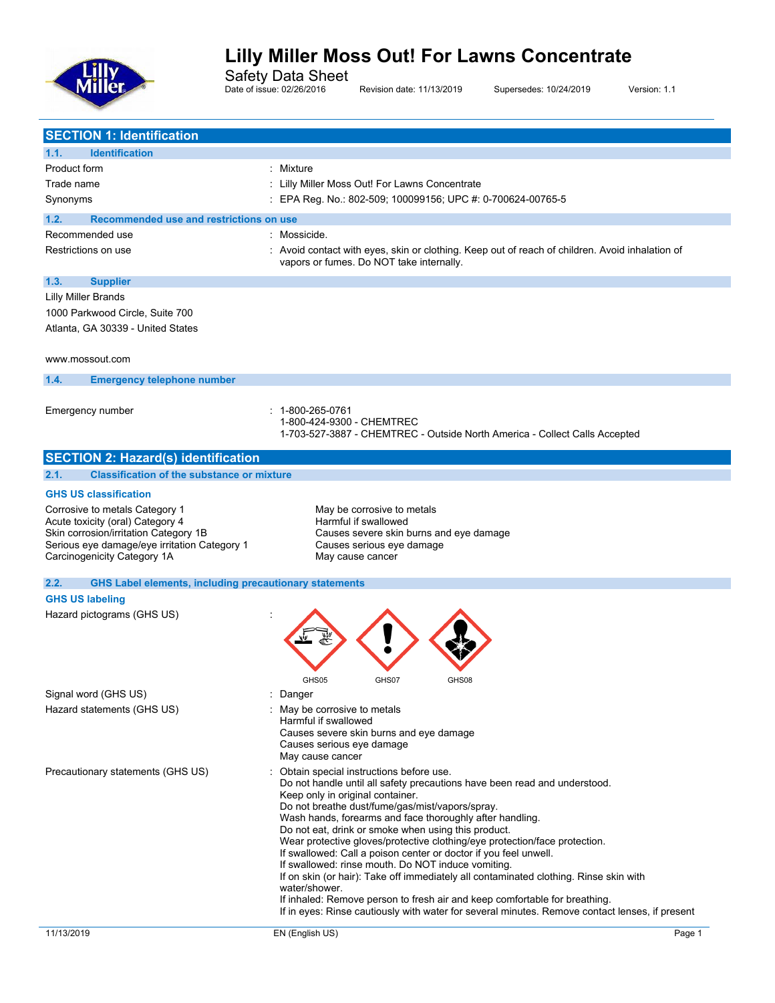

Safety Data Sheet

Date of issue: 02/26/2016 Revision date: 11/13/2019 Supersedes: 10/24/2019 Version: 1.1

| 1.1.<br><b>Identification</b>                                               |                                                                                                                                                                              |
|-----------------------------------------------------------------------------|------------------------------------------------------------------------------------------------------------------------------------------------------------------------------|
| Product form                                                                | : Mixture                                                                                                                                                                    |
| Trade name                                                                  | : Lilly Miller Moss Out! For Lawns Concentrate                                                                                                                               |
| Synonyms                                                                    | EPA Reg. No.: 802-509; 100099156; UPC #: 0-700624-00765-5                                                                                                                    |
| Recommended use and restrictions on use<br>1.2.                             |                                                                                                                                                                              |
| Recommended use                                                             | Mossicide.                                                                                                                                                                   |
| Restrictions on use                                                         | : Avoid contact with eyes, skin or clothing. Keep out of reach of children. Avoid inhalation of                                                                              |
|                                                                             | vapors or fumes. Do NOT take internally.                                                                                                                                     |
| 1.3.<br><b>Supplier</b>                                                     |                                                                                                                                                                              |
| <b>Lilly Miller Brands</b>                                                  |                                                                                                                                                                              |
| 1000 Parkwood Circle, Suite 700                                             |                                                                                                                                                                              |
| Atlanta, GA 30339 - United States                                           |                                                                                                                                                                              |
|                                                                             |                                                                                                                                                                              |
| www.mossout.com                                                             |                                                                                                                                                                              |
| 1.4.<br><b>Emergency telephone number</b>                                   |                                                                                                                                                                              |
|                                                                             |                                                                                                                                                                              |
| Emergency number                                                            | 1-800-265-0761<br>1-800-424-9300 - CHEMTREC                                                                                                                                  |
|                                                                             | 1-703-527-3887 - CHEMTREC - Outside North America - Collect Calls Accepted                                                                                                   |
| <b>SECTION 2: Hazard(s) identification</b>                                  |                                                                                                                                                                              |
| <b>Classification of the substance or mixture</b><br>2.1.                   |                                                                                                                                                                              |
| <b>GHS US classification</b>                                                |                                                                                                                                                                              |
| Corrosive to metals Category 1                                              | May be corrosive to metals                                                                                                                                                   |
| Acute toxicity (oral) Category 4                                            | Harmful if swallowed                                                                                                                                                         |
| Skin corrosion/irritation Category 1B                                       | Causes severe skin burns and eye damage                                                                                                                                      |
| Serious eye damage/eye irritation Category 1<br>Carcinogenicity Category 1A | Causes serious eye damage<br>May cause cancer                                                                                                                                |
|                                                                             |                                                                                                                                                                              |
|                                                                             |                                                                                                                                                                              |
| <b>GHS Label elements, including precautionary statements</b><br>2.2.       |                                                                                                                                                                              |
| <b>GHS US labeling</b>                                                      |                                                                                                                                                                              |
| Hazard pictograms (GHS US)                                                  |                                                                                                                                                                              |
|                                                                             |                                                                                                                                                                              |
|                                                                             |                                                                                                                                                                              |
|                                                                             |                                                                                                                                                                              |
|                                                                             | GHS07<br>GHS08<br>GHS05                                                                                                                                                      |
| Signal word (GHS US)                                                        | Danger                                                                                                                                                                       |
| Hazard statements (GHS US)                                                  | : May be corrosive to metals                                                                                                                                                 |
|                                                                             | Harmful if swallowed                                                                                                                                                         |
|                                                                             | Causes severe skin burns and eye damage<br>Causes serious eye damage                                                                                                         |
|                                                                             | May cause cancer                                                                                                                                                             |
| Precautionary statements (GHS US)                                           | : Obtain special instructions before use.                                                                                                                                    |
|                                                                             | Do not handle until all safety precautions have been read and understood.<br>Keep only in original container.                                                                |
|                                                                             | Do not breathe dust/fume/gas/mist/vapors/spray.                                                                                                                              |
|                                                                             | Wash hands, forearms and face thoroughly after handling.                                                                                                                     |
|                                                                             | Do not eat, drink or smoke when using this product.                                                                                                                          |
|                                                                             | Wear protective gloves/protective clothing/eye protection/face protection.<br>If swallowed: Call a poison center or doctor if you feel unwell.                               |
|                                                                             | If swallowed: rinse mouth. Do NOT induce vomiting.                                                                                                                           |
|                                                                             | If on skin (or hair): Take off immediately all contaminated clothing. Rinse skin with<br>water/shower.                                                                       |
|                                                                             | If inhaled: Remove person to fresh air and keep comfortable for breathing.<br>If in eyes: Rinse cautiously with water for several minutes. Remove contact lenses, if present |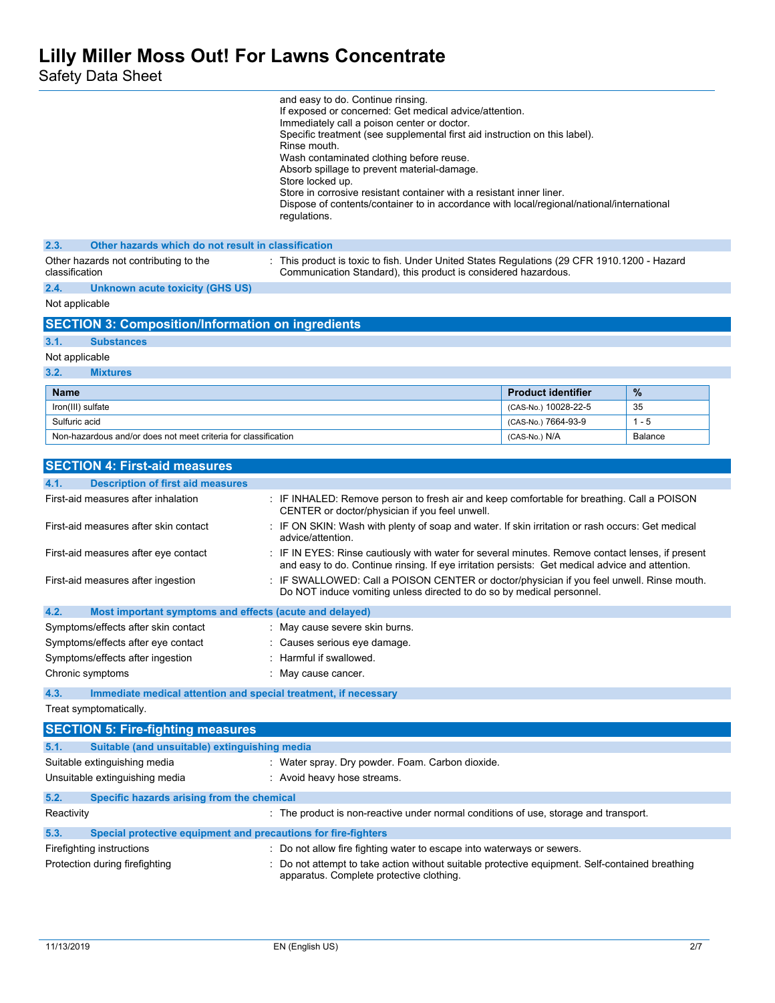Safety Data Sheet

|                                                                         | and easy to do. Continue rinsing.<br>If exposed or concerned: Get medical advice/attention.<br>Immediately call a poison center or doctor.<br>Specific treatment (see supplemental first aid instruction on this label).<br>Rinse mouth.<br>Wash contaminated clothing before reuse.<br>Absorb spillage to prevent material-damage.<br>Store locked up.<br>Store in corrosive resistant container with a resistant inner liner.<br>Dispose of contents/container to in accordance with local/regional/national/international<br>regulations. |                           |         |
|-------------------------------------------------------------------------|----------------------------------------------------------------------------------------------------------------------------------------------------------------------------------------------------------------------------------------------------------------------------------------------------------------------------------------------------------------------------------------------------------------------------------------------------------------------------------------------------------------------------------------------|---------------------------|---------|
| 2.3.<br>Other hazards which do not result in classification             |                                                                                                                                                                                                                                                                                                                                                                                                                                                                                                                                              |                           |         |
| Other hazards not contributing to the<br>classification                 | : This product is toxic to fish. Under United States Regulations (29 CFR 1910.1200 - Hazard<br>Communication Standard), this product is considered hazardous.                                                                                                                                                                                                                                                                                                                                                                                |                           |         |
| 2.4.<br>Unknown acute toxicity (GHS US)                                 |                                                                                                                                                                                                                                                                                                                                                                                                                                                                                                                                              |                           |         |
| Not applicable                                                          |                                                                                                                                                                                                                                                                                                                                                                                                                                                                                                                                              |                           |         |
| <b>SECTION 3: Composition/Information on ingredients</b>                |                                                                                                                                                                                                                                                                                                                                                                                                                                                                                                                                              |                           |         |
| 3.1.<br><b>Substances</b>                                               |                                                                                                                                                                                                                                                                                                                                                                                                                                                                                                                                              |                           |         |
| Not applicable                                                          |                                                                                                                                                                                                                                                                                                                                                                                                                                                                                                                                              |                           |         |
| 3.2.<br><b>Mixtures</b>                                                 |                                                                                                                                                                                                                                                                                                                                                                                                                                                                                                                                              |                           |         |
| <b>Name</b>                                                             |                                                                                                                                                                                                                                                                                                                                                                                                                                                                                                                                              | <b>Product identifier</b> | %       |
| Iron(III) sulfate                                                       |                                                                                                                                                                                                                                                                                                                                                                                                                                                                                                                                              | (CAS-No.) 10028-22-5      | 35      |
| Sulfuric acid                                                           |                                                                                                                                                                                                                                                                                                                                                                                                                                                                                                                                              | (CAS-No.) 7664-93-9       | $1 - 5$ |
| Non-hazardous and/or does not meet criteria for classification          |                                                                                                                                                                                                                                                                                                                                                                                                                                                                                                                                              | (CAS-No.) N/A             | Balance |
| <b>SECTION 4: First-aid measures</b>                                    |                                                                                                                                                                                                                                                                                                                                                                                                                                                                                                                                              |                           |         |
| 4.1.<br><b>Description of first aid measures</b>                        |                                                                                                                                                                                                                                                                                                                                                                                                                                                                                                                                              |                           |         |
| First-aid measures after inhalation                                     | : IF INHALED: Remove person to fresh air and keep comfortable for breathing. Call a POISON<br>CENTER or doctor/physician if you feel unwell.                                                                                                                                                                                                                                                                                                                                                                                                 |                           |         |
| First-aid measures after skin contact                                   | : IF ON SKIN: Wash with plenty of soap and water. If skin irritation or rash occurs: Get medical<br>advice/attention.                                                                                                                                                                                                                                                                                                                                                                                                                        |                           |         |
| First-aid measures after eye contact                                    | : IF IN EYES: Rinse cautiously with water for several minutes. Remove contact lenses, if present<br>and easy to do. Continue rinsing. If eye irritation persists: Get medical advice and attention.                                                                                                                                                                                                                                                                                                                                          |                           |         |
| First-aid measures after ingestion                                      | : IF SWALLOWED: Call a POISON CENTER or doctor/physician if you feel unwell. Rinse mouth.<br>Do NOT induce vomiting unless directed to do so by medical personnel.                                                                                                                                                                                                                                                                                                                                                                           |                           |         |
| 4.2.<br>Most important symptoms and effects (acute and delayed)         |                                                                                                                                                                                                                                                                                                                                                                                                                                                                                                                                              |                           |         |
| Symptoms/effects after skin contact                                     | : May cause severe skin burns.                                                                                                                                                                                                                                                                                                                                                                                                                                                                                                               |                           |         |
| Symptoms/effects after eye contact                                      | : Causes serious eye damage.                                                                                                                                                                                                                                                                                                                                                                                                                                                                                                                 |                           |         |
| Symptoms/effects after ingestion                                        | Harmful if swallowed.                                                                                                                                                                                                                                                                                                                                                                                                                                                                                                                        |                           |         |
| Chronic symptoms                                                        | : May cause cancer.                                                                                                                                                                                                                                                                                                                                                                                                                                                                                                                          |                           |         |
| 4.3.<br>Immediate medical attention and special treatment, if necessary |                                                                                                                                                                                                                                                                                                                                                                                                                                                                                                                                              |                           |         |
| Treat symptomatically.                                                  |                                                                                                                                                                                                                                                                                                                                                                                                                                                                                                                                              |                           |         |
| <b>SECTION 5: Fire-fighting measures</b>                                |                                                                                                                                                                                                                                                                                                                                                                                                                                                                                                                                              |                           |         |
| 5.1.<br>Suitable (and unsuitable) extinguishing media                   |                                                                                                                                                                                                                                                                                                                                                                                                                                                                                                                                              |                           |         |
| Suitable extinguishing media                                            | : Water spray. Dry powder. Foam. Carbon dioxide.                                                                                                                                                                                                                                                                                                                                                                                                                                                                                             |                           |         |
| Unsuitable extinguishing media                                          | : Avoid heavy hose streams.                                                                                                                                                                                                                                                                                                                                                                                                                                                                                                                  |                           |         |
| 5.2.<br>Specific hazards arising from the chemical                      |                                                                                                                                                                                                                                                                                                                                                                                                                                                                                                                                              |                           |         |
| Reactivity                                                              | : The product is non-reactive under normal conditions of use, storage and transport.                                                                                                                                                                                                                                                                                                                                                                                                                                                         |                           |         |
| 5.3.<br>Special protective equipment and precautions for fire-fighters  |                                                                                                                                                                                                                                                                                                                                                                                                                                                                                                                                              |                           |         |
| Firefighting instructions                                               | : Do not allow fire fighting water to escape into waterways or sewers.                                                                                                                                                                                                                                                                                                                                                                                                                                                                       |                           |         |
| Protection during firefighting                                          | : Do not attempt to take action without suitable protective equipment. Self-contained breathing<br>apparatus. Complete protective clothing.                                                                                                                                                                                                                                                                                                                                                                                                  |                           |         |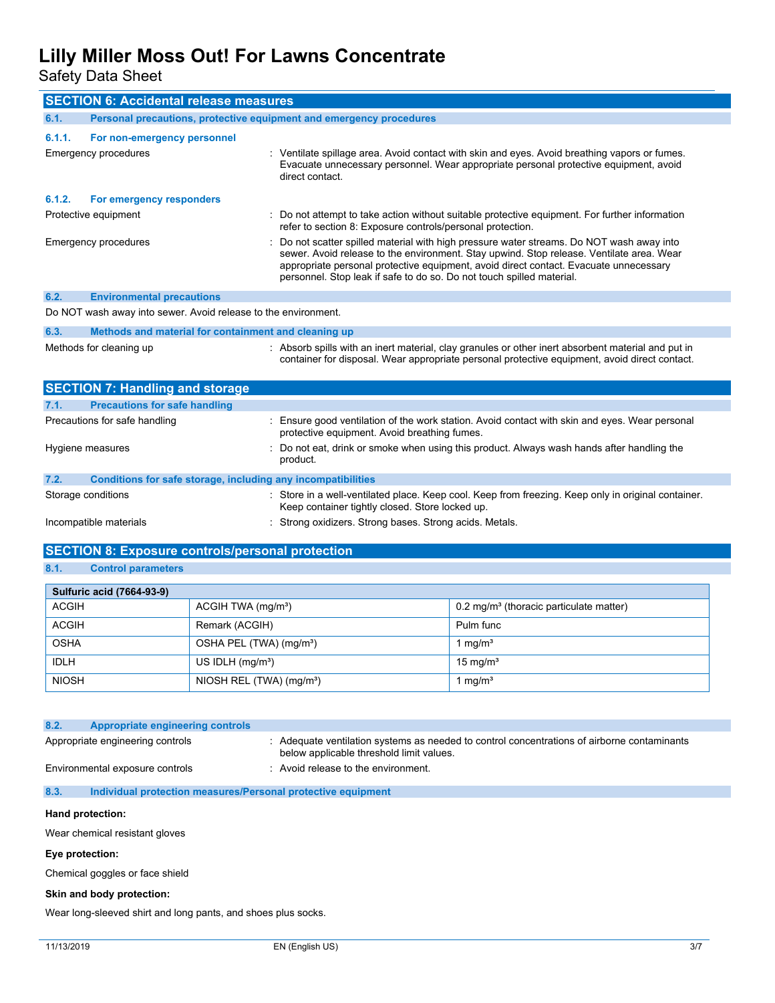Safety Data Sheet

| <b>SECTION 6: Accidental release measures</b>                        |                                                                                                                                                                                                                                                                                                                                                       |  |  |
|----------------------------------------------------------------------|-------------------------------------------------------------------------------------------------------------------------------------------------------------------------------------------------------------------------------------------------------------------------------------------------------------------------------------------------------|--|--|
| 6.1.                                                                 | Personal precautions, protective equipment and emergency procedures                                                                                                                                                                                                                                                                                   |  |  |
| 6.1.1.<br>For non-emergency personnel                                |                                                                                                                                                                                                                                                                                                                                                       |  |  |
| Emergency procedures                                                 | : Ventilate spillage area. Avoid contact with skin and eyes. Avoid breathing vapors or fumes.<br>Evacuate unnecessary personnel. Wear appropriate personal protective equipment, avoid<br>direct contact.                                                                                                                                             |  |  |
| 6.1.2.<br>For emergency responders                                   |                                                                                                                                                                                                                                                                                                                                                       |  |  |
| Protective equipment                                                 | Do not attempt to take action without suitable protective equipment. For further information<br>refer to section 8: Exposure controls/personal protection.                                                                                                                                                                                            |  |  |
| Emergency procedures                                                 | Do not scatter spilled material with high pressure water streams. Do NOT wash away into<br>sewer. Avoid release to the environment. Stay upwind. Stop release. Ventilate area. Wear<br>appropriate personal protective equipment, avoid direct contact. Evacuate unnecessary<br>personnel. Stop leak if safe to do so. Do not touch spilled material. |  |  |
| 6.2.<br><b>Environmental precautions</b>                             |                                                                                                                                                                                                                                                                                                                                                       |  |  |
| Do NOT wash away into sewer. Avoid release to the environment.       |                                                                                                                                                                                                                                                                                                                                                       |  |  |
| 6.3.                                                                 | Methods and material for containment and cleaning up                                                                                                                                                                                                                                                                                                  |  |  |
| Methods for cleaning up                                              | : Absorb spills with an inert material, clay granules or other inert absorbent material and put in<br>container for disposal. Wear appropriate personal protective equipment, avoid direct contact.                                                                                                                                                   |  |  |
| <b>SECTION 7: Handling and storage</b>                               |                                                                                                                                                                                                                                                                                                                                                       |  |  |
| 7.1.<br><b>Precautions for safe handling</b>                         |                                                                                                                                                                                                                                                                                                                                                       |  |  |
| Precautions for safe handling                                        | Ensure good ventilation of the work station. Avoid contact with skin and eyes. Wear personal<br>protective equipment. Avoid breathing fumes.                                                                                                                                                                                                          |  |  |
| Hygiene measures                                                     | Do not eat, drink or smoke when using this product. Always wash hands after handling the<br>product.                                                                                                                                                                                                                                                  |  |  |
| 7.2.<br>Conditions for safe storage, including any incompatibilities |                                                                                                                                                                                                                                                                                                                                                       |  |  |
| Storage conditions                                                   | : Store in a well-ventilated place. Keep cool. Keep from freezing. Keep only in original container.<br>Keep container tightly closed. Store locked up.                                                                                                                                                                                                |  |  |

Incompatible materials **incompatible materials** : Strong oxidizers. Strong bases. Strong acids. Metals.

## **SECTION 8: Exposure controls/personal protection**

### **8.1. Control parameters**

| Sulfuric acid (7664-93-9) |                                        |                                                       |  |
|---------------------------|----------------------------------------|-------------------------------------------------------|--|
| ACGIH                     | ACGIH TWA (mg/m <sup>3</sup> )         | $0.2$ mg/m <sup>3</sup> (thoracic particulate matter) |  |
| <b>ACGIH</b>              | Remark (ACGIH)                         | Pulm func                                             |  |
| <b>OSHA</b>               | OSHA PEL (TWA) (mg/m <sup>3</sup> )    | $\mathsf{Im} q/\mathsf{m}^3$                          |  |
| <b>IDLH</b>               | US IDLH $(mg/m3)$                      | 15 mg/m $3$                                           |  |
| <b>NIOSH</b>              | NIOSH REL $(TWA)$ (mg/m <sup>3</sup> ) | $\mathsf{Im} q/\mathsf{m}^3$                          |  |

| 8.2. | Appropriate engineering controls                             |                                                                                                                                       |  |
|------|--------------------------------------------------------------|---------------------------------------------------------------------------------------------------------------------------------------|--|
|      | Appropriate engineering controls                             | Adequate ventilation systems as needed to control concentrations of airborne contaminants<br>below applicable threshold limit values. |  |
|      | Environmental exposure controls                              | : Avoid release to the environment.                                                                                                   |  |
| 8.3. | Individual protection measures/Personal protective equipment |                                                                                                                                       |  |
|      |                                                              |                                                                                                                                       |  |

## **Hand protection:**

Wear chemical resistant gloves

### **Eye protection:**

Chemical goggles or face shield

#### **Skin and body protection:**

Wear long-sleeved shirt and long pants, and shoes plus socks.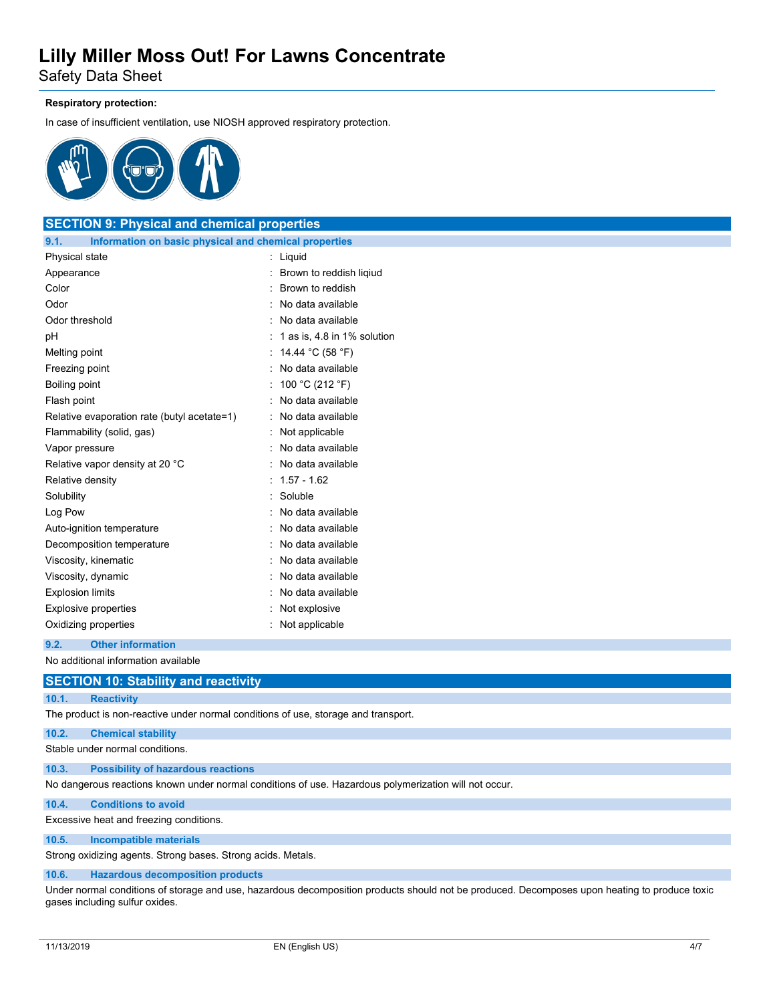Safety Data Sheet

### **Respiratory protection:**

In case of insufficient ventilation, use NIOSH approved respiratory protection.



## **SECTION 9: Physical and chemical properties 9.1. Information on basic physical and chemical properties**

| Physical state                              | Liquid                      |
|---------------------------------------------|-----------------------------|
| Appearance                                  | Brown to reddish ligiud     |
| Color                                       | Brown to reddish            |
| Odor                                        | No data available           |
| Odor threshold                              | No data available           |
| рH                                          | 1 as is, 4.8 in 1% solution |
| Melting point                               | 14.44 °C (58 °F)            |
| Freezing point                              | No data available           |
| Boiling point                               | 100 °C (212 °F)             |
| Flash point                                 | No data available           |
| Relative evaporation rate (butyl acetate=1) | No data available           |
| Flammability (solid, gas)                   | Not applicable              |
| Vapor pressure                              | No data available           |
| Relative vapor density at 20 °C             | No data available           |
| Relative density                            | $1.57 - 1.62$               |
| Solubility                                  | Soluble                     |
| Log Pow                                     | No data available           |
| Auto-ignition temperature                   | No data available           |
| Decomposition temperature                   | No data available           |
| Viscosity, kinematic                        | No data available           |
| Viscosity, dynamic                          | No data available           |
| <b>Explosion limits</b>                     | No data available           |
| <b>Explosive properties</b>                 | Not explosive               |
| Oxidizing properties                        | Not applicable              |
|                                             |                             |

#### **9.2. Other information**

No additional information available

## **SECTION 10: Stability and reactivity**

### **10.1. Reactivity**

The product is non-reactive under normal conditions of use, storage and transport.

### **10.2. Chemical stability**

Stable under normal conditions.

### **10.3. Possibility of hazardous reactions**

No dangerous reactions known under normal conditions of use. Hazardous polymerization will not occur.

### **10.4. Conditions to avoid**

Excessive heat and freezing conditions.

## **10.5. Incompatible materials**

Strong oxidizing agents. Strong bases. Strong acids. Metals.

## **10.6. Hazardous decomposition products**

Under normal conditions of storage and use, hazardous decomposition products should not be produced. Decomposes upon heating to produce toxic gases including sulfur oxides.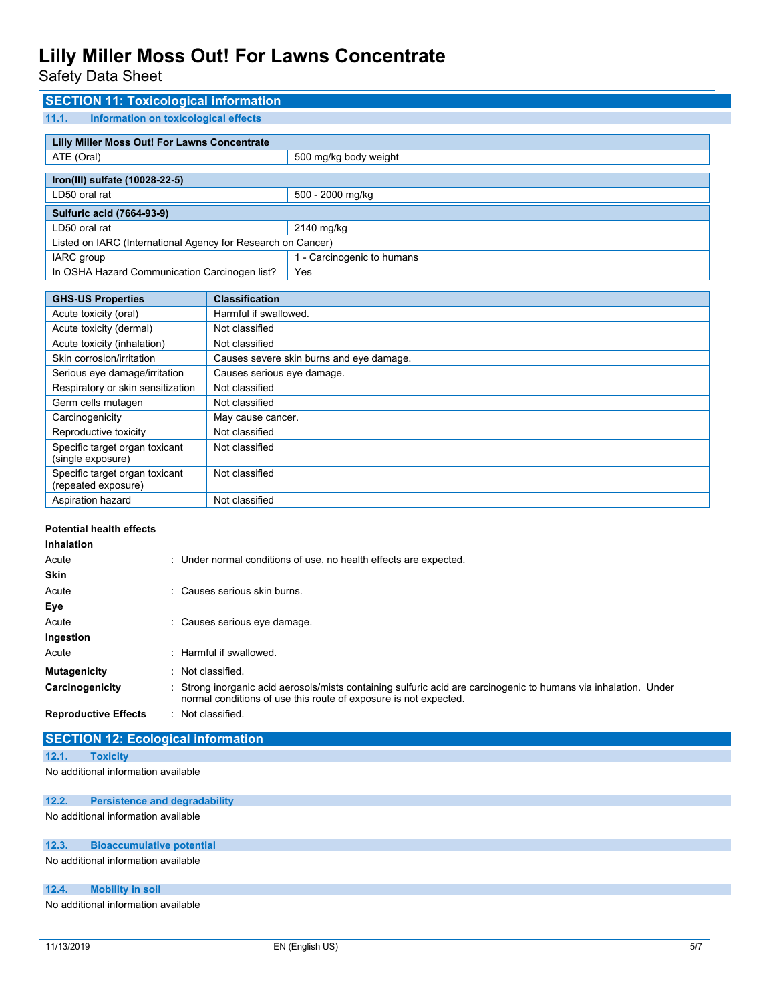Safety Data Sheet

## **SECTION 11: Toxicological information 11.1. Information on toxicological effects Lilly Miller Moss Out! For Lawns Concentrate** ATE (Oral) **ATE** (Oral) **500 mg/kg** body weight **Iron(III) sulfate (10028-22-5)** LD50 oral rat 500 - 2000 mg/kg **Sulfuric acid (7664-93-9)** LD50 oral rat 2140 mg/kg Listed on IARC (International Agency for Research on Cancer) IARC group 1 - Carcinogenic to humans In OSHA Hazard Communication Carcinogen list? | Yes

| <b>GHS-US Properties</b>                              | <b>Classification</b>                    |
|-------------------------------------------------------|------------------------------------------|
| Acute toxicity (oral)                                 | Harmful if swallowed.                    |
| Acute toxicity (dermal)                               | Not classified                           |
| Acute toxicity (inhalation)                           | Not classified                           |
| Skin corrosion/irritation                             | Causes severe skin burns and eye damage. |
| Serious eye damage/irritation                         | Causes serious eye damage.               |
| Respiratory or skin sensitization                     | Not classified                           |
| Germ cells mutagen                                    | Not classified                           |
| Carcinogenicity                                       | May cause cancer.                        |
| Reproductive toxicity                                 | Not classified                           |
| Specific target organ toxicant<br>(single exposure)   | Not classified                           |
| Specific target organ toxicant<br>(repeated exposure) | Not classified                           |
| Aspiration hazard                                     | Not classified                           |

## **Potential health effects**

| <b>Inhalation</b>           |                                                                                                                                                                                      |
|-----------------------------|--------------------------------------------------------------------------------------------------------------------------------------------------------------------------------------|
| Acute                       | : Under normal conditions of use, no health effects are expected.                                                                                                                    |
| <b>Skin</b>                 |                                                                                                                                                                                      |
| Acute                       | Causes serious skin burns.                                                                                                                                                           |
| Eye                         |                                                                                                                                                                                      |
| Acute                       | Causes serious eye damage.                                                                                                                                                           |
| Ingestion                   |                                                                                                                                                                                      |
| Acute                       | : Harmful if swallowed.                                                                                                                                                              |
| Mutagenicity                | : Not classified.                                                                                                                                                                    |
| Carcinogenicity             | : Strong inorganic acid aerosols/mists containing sulfuric acid are carcinogenic to humans via inhalation. Under<br>normal conditions of use this route of exposure is not expected. |
| <b>Reproductive Effects</b> | : Not classified.                                                                                                                                                                    |

## **SECTION 12: Ecological information**

**12.1. Toxicity**

No additional information available

## **12.2. Persistence and degradability**

No additional information available

#### **12.3. Bioaccumulative potential**

No additional information available

### **12.4. Mobility in soil**

No additional information available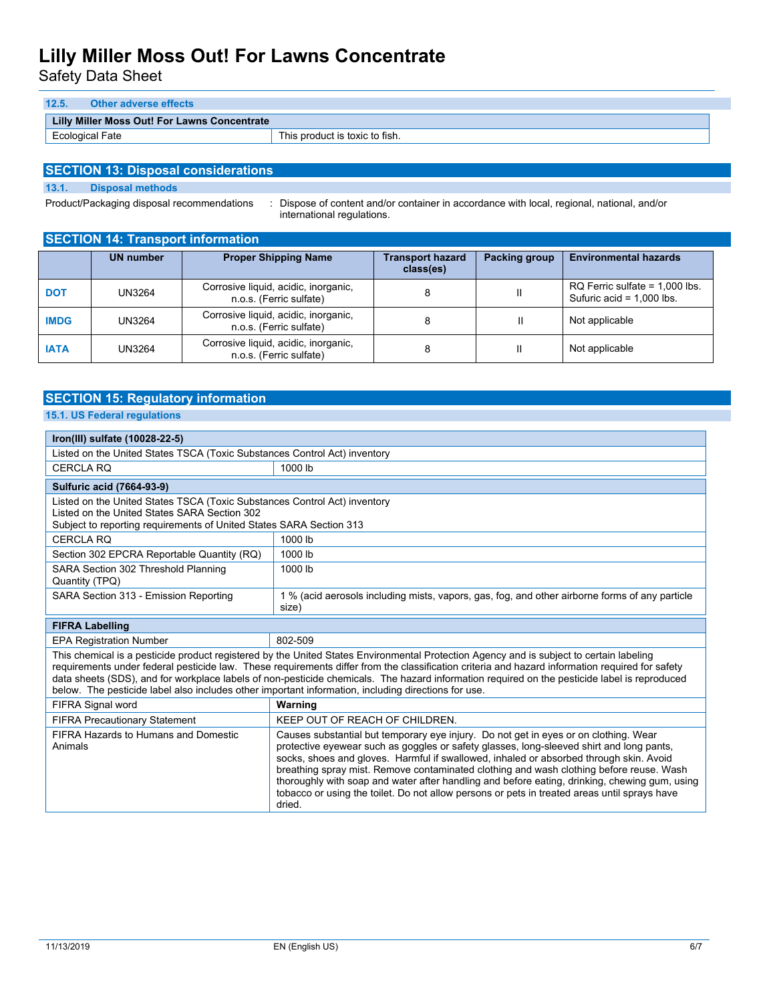Safety Data Sheet

| 12.5. | Other adverse effects                        |                                |
|-------|----------------------------------------------|--------------------------------|
|       | Lilly Miller Moss Out! For Lawns Concentrate |                                |
|       | Ecological Fate                              | This product is toxic to fish. |

## **SECTION 13: Disposal considerations**

**13.1. Disposal methods**

Product/Packaging disposal recommendations : Dispose of content and/or container in accordance with local, regional, national, and/or international regulations.

| <b>SECTION 14: Transport information</b> |                  |                                                                 |                                      |               |                                                                 |
|------------------------------------------|------------------|-----------------------------------------------------------------|--------------------------------------|---------------|-----------------------------------------------------------------|
|                                          | <b>UN number</b> | <b>Proper Shipping Name</b>                                     | <b>Transport hazard</b><br>class(es) | Packing group | <b>Environmental hazards</b>                                    |
| <b>DOT</b>                               | UN3264           | Corrosive liquid, acidic, inorganic,<br>n.o.s. (Ferric sulfate) | 8                                    | Ш             | $RQ$ Ferric sulfate = 1,000 lbs.<br>Sufuric acid = $1,000$ lbs. |
| <b>IMDG</b>                              | UN3264           | Corrosive liquid, acidic, inorganic,<br>n.o.s. (Ferric sulfate) | 8                                    | Ш             | Not applicable                                                  |
| <b>IATA</b>                              | UN3264           | Corrosive liquid, acidic, inorganic,<br>n.o.s. (Ferric sulfate) | 8                                    | Ш             | Not applicable                                                  |

## **SECTION 15: Regulatory information 15.1. US Federal regulations**

| Iron(III) sulfate (10028-22-5)                                                                                                                                                                                                                                                                                                                                                                                                                                                                                                                    |                                                                                                                                                                                                                                                                                                                                                                                                                                                                                                                                                                                  |  |
|---------------------------------------------------------------------------------------------------------------------------------------------------------------------------------------------------------------------------------------------------------------------------------------------------------------------------------------------------------------------------------------------------------------------------------------------------------------------------------------------------------------------------------------------------|----------------------------------------------------------------------------------------------------------------------------------------------------------------------------------------------------------------------------------------------------------------------------------------------------------------------------------------------------------------------------------------------------------------------------------------------------------------------------------------------------------------------------------------------------------------------------------|--|
| Listed on the United States TSCA (Toxic Substances Control Act) inventory                                                                                                                                                                                                                                                                                                                                                                                                                                                                         |                                                                                                                                                                                                                                                                                                                                                                                                                                                                                                                                                                                  |  |
| <b>CERCLA RQ</b>                                                                                                                                                                                                                                                                                                                                                                                                                                                                                                                                  | 1000 lb                                                                                                                                                                                                                                                                                                                                                                                                                                                                                                                                                                          |  |
| <b>Sulfuric acid (7664-93-9)</b>                                                                                                                                                                                                                                                                                                                                                                                                                                                                                                                  |                                                                                                                                                                                                                                                                                                                                                                                                                                                                                                                                                                                  |  |
| Listed on the United States TSCA (Toxic Substances Control Act) inventory<br>Listed on the United States SARA Section 302<br>Subject to reporting requirements of United States SARA Section 313                                                                                                                                                                                                                                                                                                                                                  |                                                                                                                                                                                                                                                                                                                                                                                                                                                                                                                                                                                  |  |
| <b>CERCLA RQ</b>                                                                                                                                                                                                                                                                                                                                                                                                                                                                                                                                  | 1000 lb                                                                                                                                                                                                                                                                                                                                                                                                                                                                                                                                                                          |  |
| Section 302 EPCRA Reportable Quantity (RQ)                                                                                                                                                                                                                                                                                                                                                                                                                                                                                                        | 1000 lb                                                                                                                                                                                                                                                                                                                                                                                                                                                                                                                                                                          |  |
| SARA Section 302 Threshold Planning<br>Quantity (TPQ)                                                                                                                                                                                                                                                                                                                                                                                                                                                                                             | 1000 lb                                                                                                                                                                                                                                                                                                                                                                                                                                                                                                                                                                          |  |
| SARA Section 313 - Emission Reporting                                                                                                                                                                                                                                                                                                                                                                                                                                                                                                             | 1 % (acid aerosols including mists, vapors, gas, fog, and other airborne forms of any particle<br>size)                                                                                                                                                                                                                                                                                                                                                                                                                                                                          |  |
| <b>FIFRA Labelling</b>                                                                                                                                                                                                                                                                                                                                                                                                                                                                                                                            |                                                                                                                                                                                                                                                                                                                                                                                                                                                                                                                                                                                  |  |
| <b>EPA Registration Number</b>                                                                                                                                                                                                                                                                                                                                                                                                                                                                                                                    | 802-509                                                                                                                                                                                                                                                                                                                                                                                                                                                                                                                                                                          |  |
| This chemical is a pesticide product registered by the United States Environmental Protection Agency and is subject to certain labeling<br>requirements under federal pesticide law. These requirements differ from the classification criteria and hazard information required for safety<br>data sheets (SDS), and for workplace labels of non-pesticide chemicals. The hazard information required on the pesticide label is reproduced<br>below. The pesticide label also includes other important information, including directions for use. |                                                                                                                                                                                                                                                                                                                                                                                                                                                                                                                                                                                  |  |
| FIFRA Signal word                                                                                                                                                                                                                                                                                                                                                                                                                                                                                                                                 | Warning                                                                                                                                                                                                                                                                                                                                                                                                                                                                                                                                                                          |  |
| <b>FIFRA Precautionary Statement</b>                                                                                                                                                                                                                                                                                                                                                                                                                                                                                                              | KEEP OUT OF REACH OF CHILDREN.                                                                                                                                                                                                                                                                                                                                                                                                                                                                                                                                                   |  |
| FIFRA Hazards to Humans and Domestic<br>Animals                                                                                                                                                                                                                                                                                                                                                                                                                                                                                                   | Causes substantial but temporary eye injury. Do not get in eyes or on clothing. Wear<br>protective eyewear such as goggles or safety glasses, long-sleeved shirt and long pants,<br>socks, shoes and gloves. Harmful if swallowed, inhaled or absorbed through skin. Avoid<br>breathing spray mist. Remove contaminated clothing and wash clothing before reuse. Wash<br>thoroughly with soap and water after handling and before eating, drinking, chewing gum, using<br>tobacco or using the toilet. Do not allow persons or pets in treated areas until sprays have<br>dried. |  |